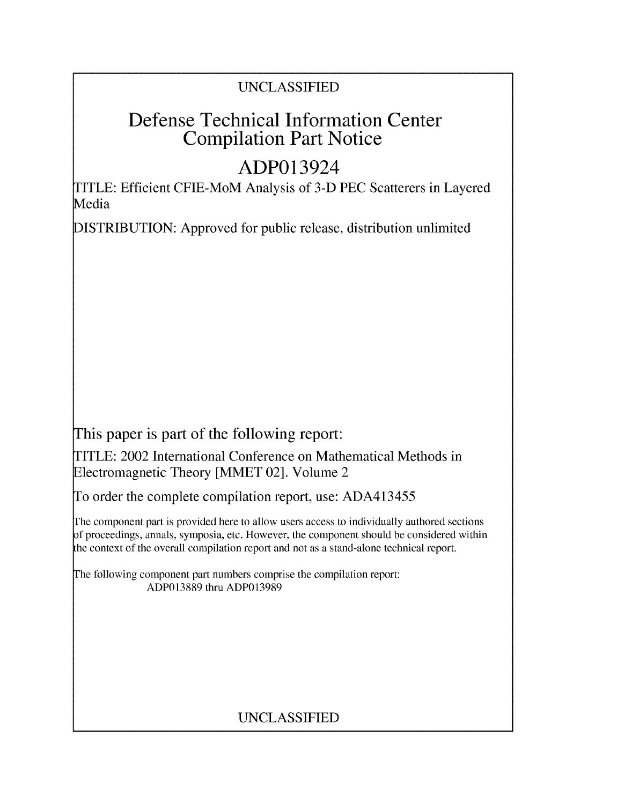## UNCLASSIFIED

# Defense Technical Information Center Compilation Part Notice

# ADP013924

TITLE: Efficient CFIE-MoM Analysis of 3-D PEC Scatterers in Layered Media

DISTRIBUTION: Approved for public release, distribution unlimited

This paper is part of the following report:

TITLE: 2002 International Conference on Mathematical Methods in Electromagnetic Theory [MMET 02]. Volume 2

To order the complete compilation report, use: ADA413455

The component part is provided here to allow users access to individually authored sections f proceedings, annals, symposia, etc. However, the component should be considered within the context of the overall compilation report and not as a stand-alone technical report.

The following component part numbers comprise the compilation report: ADP013889 thru ADP013989

# UNCLASSIFIED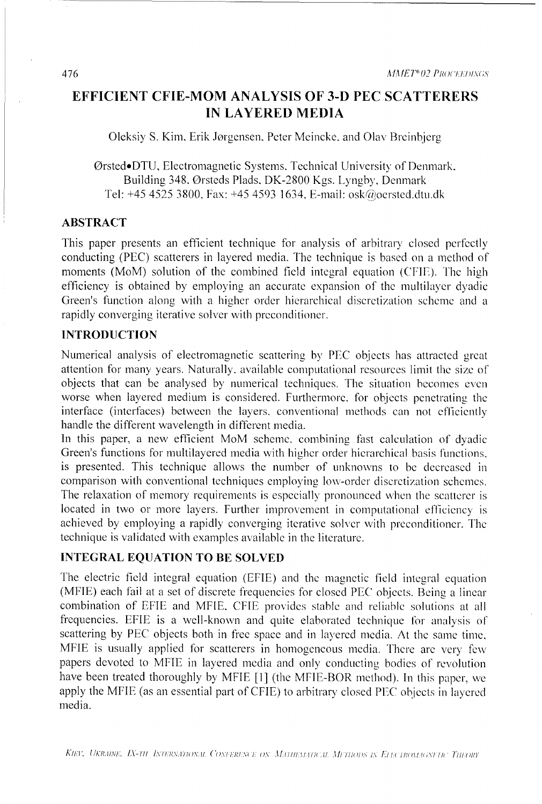## **EFFICIENT** CFIE-MOM **ANALYSIS** OF **3-D PEC** SCATTERERS **IN** LAYERED **MEDIA**

Oleksiy **S.** Kim, Erik Jorgensen. Peter Mcincke. and Olav Brcinbjerg

OrstedeDTU. Electromagnetic Systems. Technical University of Denmark. Building 348, Orsteds Plads, DK-2800 Kgs. Lyngby, Denmark Tel: +45 4525 3800, Fax: +45 4593 1634, E-mail: osk@oersted.dtu.dk

#### ABSTRACT

This paper presents an efficient technique for analysis of arbitrary closed perfectly conducting (PEC) scatterers in layered media. The technique is based on a method of moments (MoM) solution of the combined field integral equation (CFIE). The high efficiency is obtained by employing an accurate expansion of the multilayer dyadic Green's function along with a higher order hierarchical discrctization scheme and a rapidly converging iterative solver with prcconditioner.

### **INTRODUCTION**

Numerical analysis of electromagnetic scattering by **PEC** objects has attracted great attention for many years. Naturally. available computational resources limit the size of objects that can be analysed by numerical techniques. The situation becomes even worse when layered medium is considered. Furthermore. for objects penetrating the interface (interfaces) between the layers. conventional methods can not efficiently handle the different wavelength in different media.

In this paper, a new efficient MoM scheme, combining fast calculation of dyadic Green's functions for multilayered media with higher order hierarchical basis functions. is presented. This technique allows the number of unknowns to be decreased in comparison with conventional techniques employing low-order discretization schemes. The relaxation of memory requirements is especially pronounced when the scatterer is located in two or more layers. Further improvement in computational efficiency is achieved by employing a rapidly converging iterative solver with preconditioner. The technique is validated with examples available in the literature.

#### **INTEGRAL EQUATION** TO BE **SOLVED**

The electric field integral equation (EFIE) and the magnetic field integral equation (MFIE) each fail at a set of discrete frequencies for closed PEC objects. Being a linear combination of **EFIE** and MFIE. CFIE provides stable and reliable solutions at all frequencies. EFIE is a well-known and quite elaborated technique for analysis of scattering by **PEC** objects both in free space and in layered media. At the same time, MFIE is usually applied for scatterers in homogeneous media. There are very few papers devoted to MFIE in layered media and only conducting bodies of revolution have been treated thoroughly by MFIE [1] (the MFIE-BOR method). In this paper, we apply the MFIE (as an essential part of CFIE) to arbitrary closed PEC objects in layered media.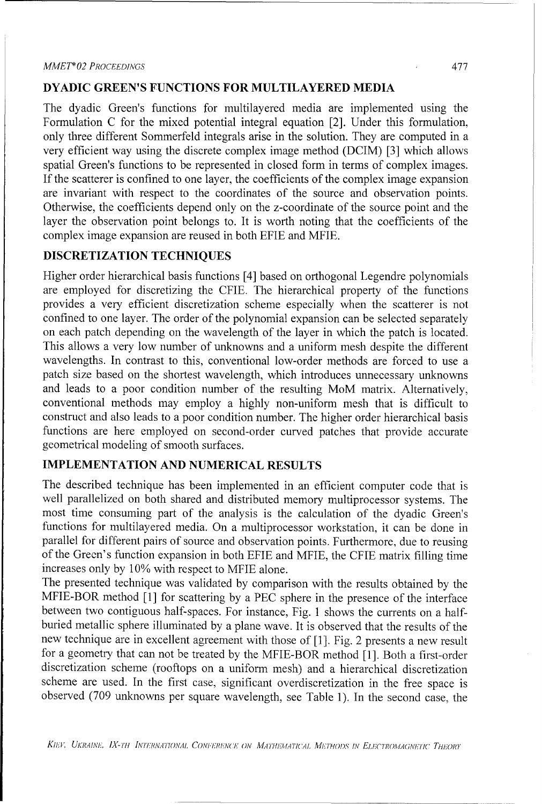#### *MMETh 02 PROCEEDINGS* 477

#### DYADIC **GREEN'S FUNCTIONS** FOR MULTILAYERED **MEDIA**

The dyadic Green's functions for multilayered media are implemented using the Formulation C for the mixed potential integral equation [2]. Under this formulation, only three different Sommerfeld integrals arise in the solution. They are computed in a very efficient way using the discrete complex image method (DCIM) [3] which allows spatial Green's functions to be represented in closed form in terms of complex images. If the scatterer is confined to one layer, the coefficients of the complex image expansion are invariant with respect to the coordinates of the source and observation points. Otherwise, the coefficients depend only on the z-coordinate of the source point and the layer the observation point belongs to. It is worth noting that the coefficients of the complex image expansion are reused in both EFIE and MFIE.

#### DISCRETIZATION **TECHNIQUES**

Higher order hierarchical basis functions [4] based on orthogonal Legendre polynomials are employed for discretizing the CFIE. The hierarchical property of the functions provides a very efficient discretization scheme especially when the scatterer is not confined to one layer. The order of the polynomial expansion can be selected separately on each patch depending on the wavelength of the layer in which the patch is located. This allows a very low number of unknowns and a uniform mesh despite the different wavelengths. In contrast to this, conventional low-order methods are forced to use a patch size based on the shortest wavelength, which introduces unnecessary unknowns and leads to a poor condition number of the resulting MoM matrix. Alternatively, conventional methods may employ a highly non-uniform mesh that is difficult to construct and also leads to a poor condition number. The higher order hierarchical basis functions are here employed on second-order curved patches that provide accurate geometrical modeling of smooth surfaces.

### **IMPLEMENTATION** AND **NUMERICAL RESULTS**

The described technique has been implemented in an efficient computer code that is well parallelized on both shared and distributed memory multiprocessor systems. The most time consuming part of the analysis is the calculation of the dyadic Green's functions for multilayered media. On a multiprocessor workstation, it can be done in parallel for different pairs of source and observation points. Furthermore, due to reusing of the Green's function expansion in both EFIE and MFIE, the CFIE matrix filling time increases only by 10% with respect to MEJE alone.

The presented technique was validated by comparison with the results obtained by the MFIE-BOR method [1] for scattering by a PEC sphere in the presence of the interface between two contiguous half-spaces. For instance, Fig. 1 shows the currents on a halfburied metallic sphere illuminated by a plane wave. It is observed that the results of the new technique are in excellent agreement with those of [1]. Fig. 2 presents a new result for a geometry that can not be treated by the MFIE-BOR method [1]. Both a first-order discretization scheme (rooftops on a uniform mesh) and a hierarchical discretization scheme are used. In the first case, significant overdiscretization in the free space is observed (709 unknowns per square wavelength, see Table 1). In the second case, the

KIEV, UKRAINE, *IX-TH INTERNATIONAI*, CONFERENCE ON *MATHEMATICAL METHODS IN ELECTROMAGNETIC THEORY*